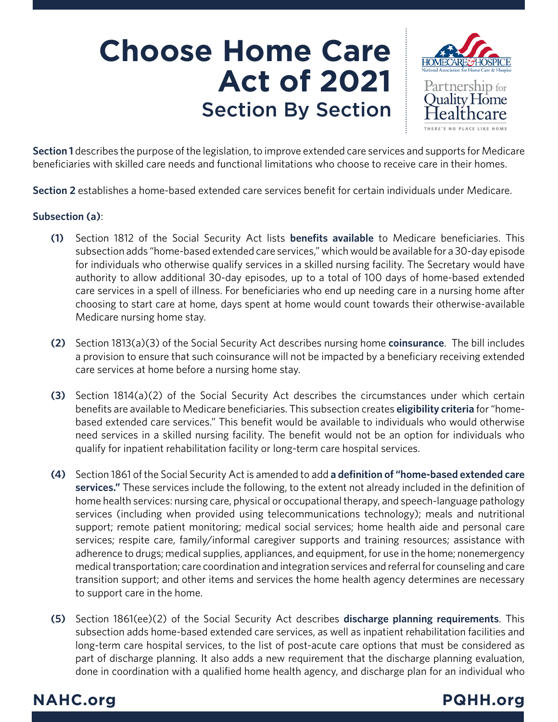# **Choose Home Care Act of 2021** Section By Section



**Section 1** describes the purpose of the legislation, to improve extended care services and supports for Medicare beneficiaries with skilled care needs and functional limitations who choose to receive care in their homes.

**Section 2** establishes a home-based extended care services benefit for certain individuals under Medicare.

### **Subsection (a)**:

- Section 1812 of the Social Security Act lists **benefits available** to Medicare beneficiaries. This subsection adds "home-based extended care services," which would be available for a 30-day episode for individuals who otherwise qualify services in a skilled nursing facility. The Secretary would have authority to allow additional 30-day episodes, up to a total of 100 days of home-based extended care services in a spell of illness. For beneficiaries who end up needing care in a nursing home after choosing to start care at home, days spent at home would count towards their otherwise-available Medicare nursing home stay. **(1)**
- Section 1813(a)(3) of the Social Security Act describes nursing home **coinsurance**. The bill includes **(2)** a provision to ensure that such coinsurance will not be impacted by a beneficiary receiving extended care services at home before a nursing home stay.
- (3) Section 1814(a)(2) of the Social Security Act describes the circumstances under which certain benefits are available to Medicare beneficiaries. This subsection creates **eligibility criteria** for "homebased extended care services." This benefit would be available to individuals who would otherwise need services in a skilled nursing facility. The benefit would not be an option for individuals who qualify for inpatient rehabilitation facility or long-term care hospital services.
- Section 1861 of the Social Security Act is amended to add **a definition of "home-based extended care (4) services."** These services include the following, to the extent not already included in the definition of home health services: nursing care, physical or occupational therapy, and speech-language pathology services (including when provided using telecommunications technology); meals and nutritional support; remote patient monitoring; medical social services; home health aide and personal care services; respite care, family/informal caregiver supports and training resources; assistance with adherence to drugs; medical supplies, appliances, and equipment, for use in the home; nonemergency medical transportation; care coordination and integration services and referral for counseling and care transition support; and other items and services the home health agency determines are necessary to support care in the home.
- Section 1861(ee)(2) of the Social Security Act describes **discharge planning requirements**. This **(5)**subsection adds home-based extended care services, as well as inpatient rehabilitation facilities and long-term care hospital services, to the list of post-acute care options that must be considered as part of discharge planning. It also adds a new requirement that the discharge planning evaluation, done in coordination with a qualified home health agency, and discharge plan for an individual who

## **NAHC.org PQHH.org**